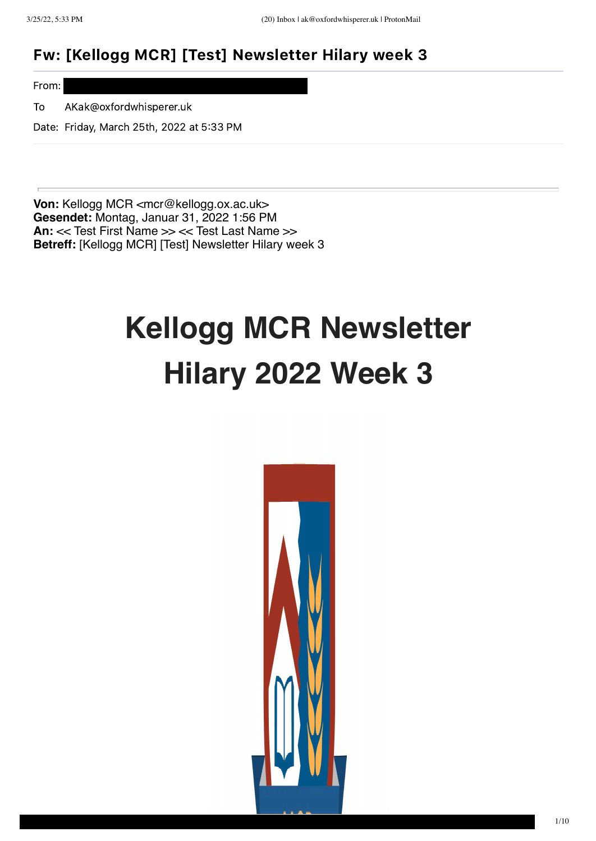### Fw: [Kellogg MCR] [Test] Newsletter Hilary week 3

From:

To AKak@oxfordwhisperer.uk

Date: Friday, March 25th, 2022 at 5:33 PM

**Von:** Kellogg MCR <mcr@kellogg.ox.ac.uk> **Gesendet:** Montag, Januar 31, 2022 1:56 PM **An:** << Test First Name >> << Test Last Name >> **Betreff:** [Kellogg MCR] [Test] Newsletter Hilary week 3

## **Kellogg MCR Newsletter Hilary 2022 Week 3**

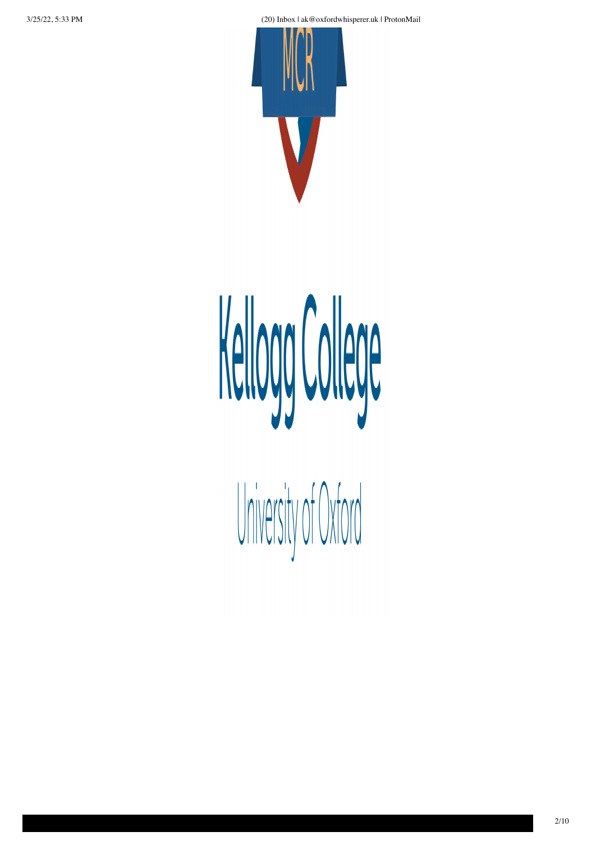3/25/22, 5:33 PM (20) Inbox | ak@oxfordwhisperer.uk | ProtonMail



# Kellogg College

University of Oxford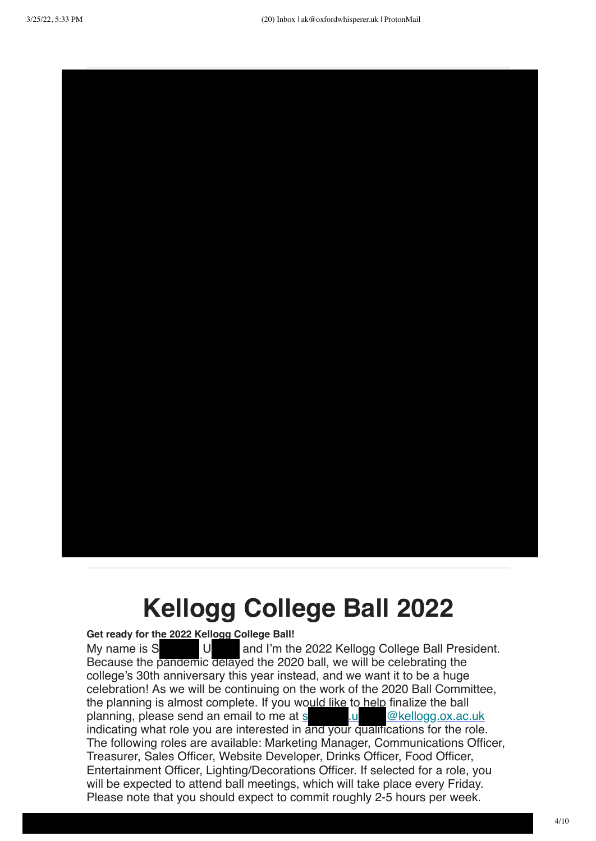

### **Kellogg College Ball 2022**

#### **Get ready for the 2022 Kellogg College Ball!**

My name is S U and I'm the 2022 Kellogg College Ball President. Because the pandemic delayed the 2020 ball, we will be celebrating the college's 30th anniversary this year instead, and we want it to be a huge celebration! As we will be continuing on the work of the 2020 Ball Committee, the planning is almost complete. If you would like to help finalize the ball planning, please send an email to me at  $s$  ...  $\omega$  @kellogg.ox.ac.uk indicating what role you are interested in and your qualifications for the role. The following roles are available: Marketing Manager, Communications Officer, Treasurer, Sales Officer, Website Developer, Drinks Officer, Food Officer, Entertainment Officer, Lighting/Decorations Officer. If selected for a role, you will be expected to attend ball meetings, which will take place every Friday. Please note that you should expect to commit roughly 2-5 hours per week.